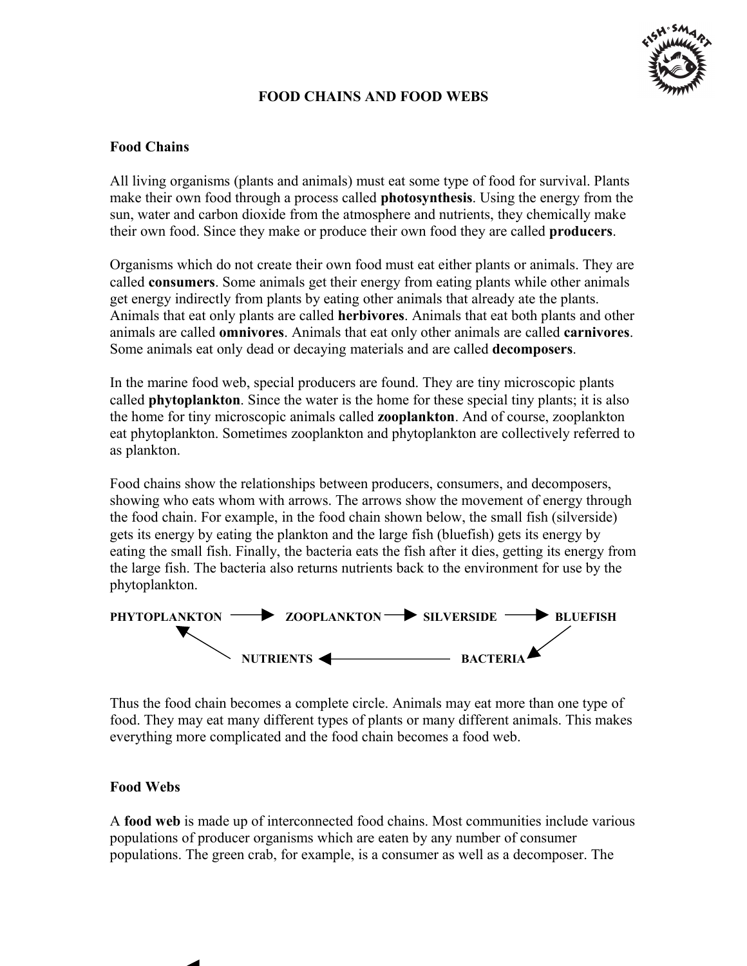

# **FOOD CHAINS AND FOOD WEBS**

## **Food Chains**

All living organisms (plants and animals) must eat some type of food for survival. Plants make their own food through a process called **photosynthesis**. Using the energy from the sun, water and carbon dioxide from the atmosphere and nutrients, they chemically make their own food. Since they make or produce their own food they are called **producers**.

 animals are called **omnivores**. Animals that eat only other animals are called **carnivores**. Organisms which do not create their own food must eat either plants or animals. They are called **consumers**. Some animals get their energy from eating plants while other animals get energy indirectly from plants by eating other animals that already ate the plants. Animals that eat only plants are called **herbivores**. Animals that eat both plants and other Some animals eat only dead or decaying materials and are called **decomposers**.

In the marine food web, special producers are found. They are tiny microscopic plants called **phytoplankton**. Since the water is the home for these special tiny plants; it is also the home for tiny microscopic animals called **zooplankton**. And of course, zooplankton eat phytoplankton. Sometimes zooplankton and phytoplankton are collectively referred to as plankton.

Food chains show the relationships between producers, consumers, and decomposers, showing who eats whom with arrows. The arrows show the movement of energy through the food chain. For example, in the food chain shown below, the small fish (silverside) gets its energy by eating the plankton and the large fish (bluefish) gets its energy by eating the small fish. Finally, the bacteria eats the fish after it dies, getting its energy from the large fish. The bacteria also returns nutrients back to the environment for use by the phytoplankton.



Thus the food chain becomes a complete circle. Animals may eat more than one type of food. They may eat many different types of plants or many different animals. This makes everything more complicated and the food chain becomes a food web.

### **Food Webs**

A **food web** is made up of interconnected food chains. Most communities include various populations of producer organisms which are eaten by any number of consumer populations. The green crab, for example, is a consumer as well as a decomposer. The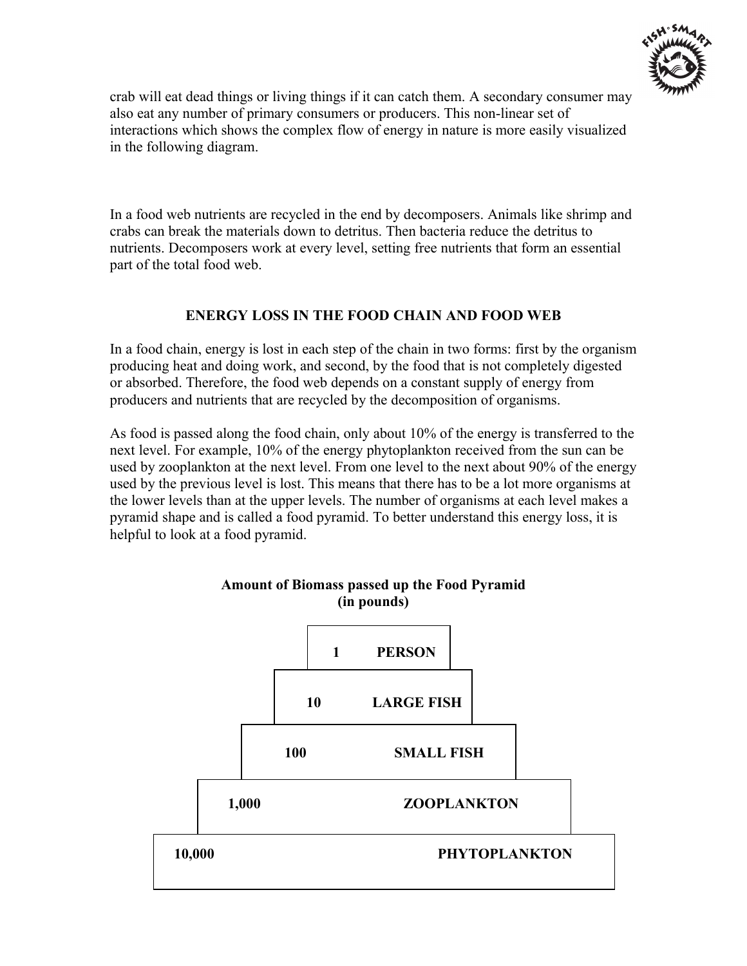

crab will eat dead things or living things if it can catch them. A secondary consumer may also eat any number of primary consumers or producers. This non-linear set of interactions which shows the complex flow of energy in nature is more easily visualized in the following diagram.

In a food web nutrients are recycled in the end by decomposers. Animals like shrimp and crabs can break the materials down to detritus. Then bacteria reduce the detritus to nutrients. Decomposers work at every level, setting free nutrients that form an essential part of the total food web.

# **ENERGY LOSS IN THE FOOD CHAIN AND FOOD WEB**

In a food chain, energy is lost in each step of the chain in two forms: first by the organism producing heat and doing work, and second, by the food that is not completely digested or absorbed. Therefore, the food web depends on a constant supply of energy from producers and nutrients that are recycled by the decomposition of organisms.

As food is passed along the food chain, only about 10% of the energy is transferred to the next level. For example, 10% of the energy phytoplankton received from the sun can be used by zooplankton at the next level. From one level to the next about 90% of the energy used by the previous level is lost. This means that there has to be a lot more organisms at the lower levels than at the upper levels. The number of organisms at each level makes a pyramid shape and is called a food pyramid. To better understand this energy loss, it is helpful to look at a food pyramid.

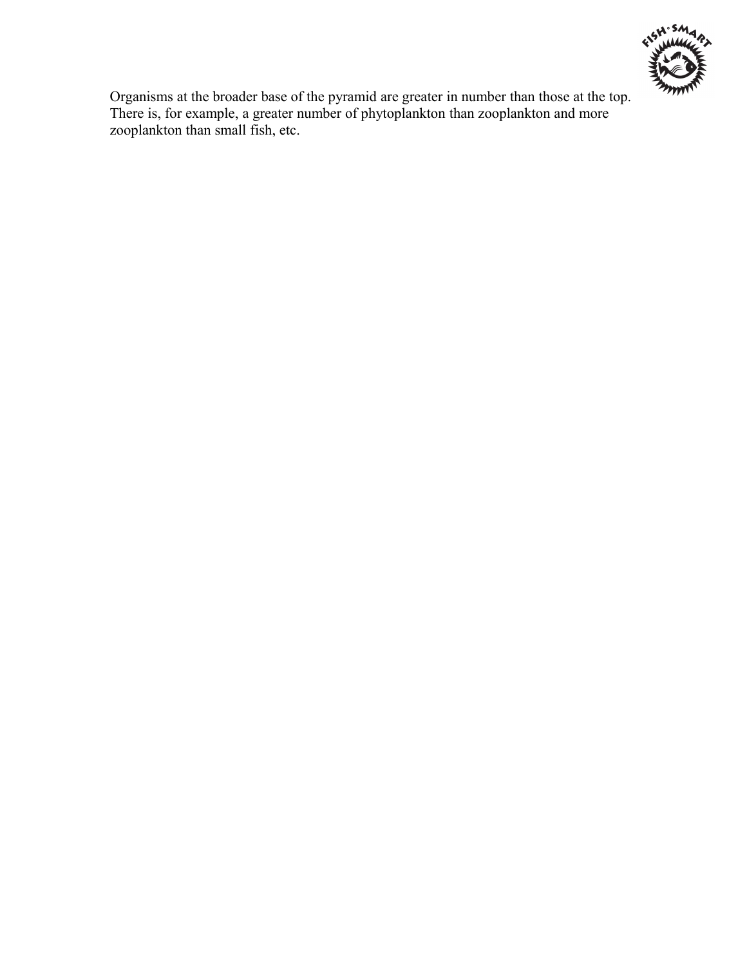

Organisms at the broader base of the pyramid are greater in number than those at the top. There is, for example, a greater number of phytoplankton than zooplankton and more zooplankton than small fish, etc.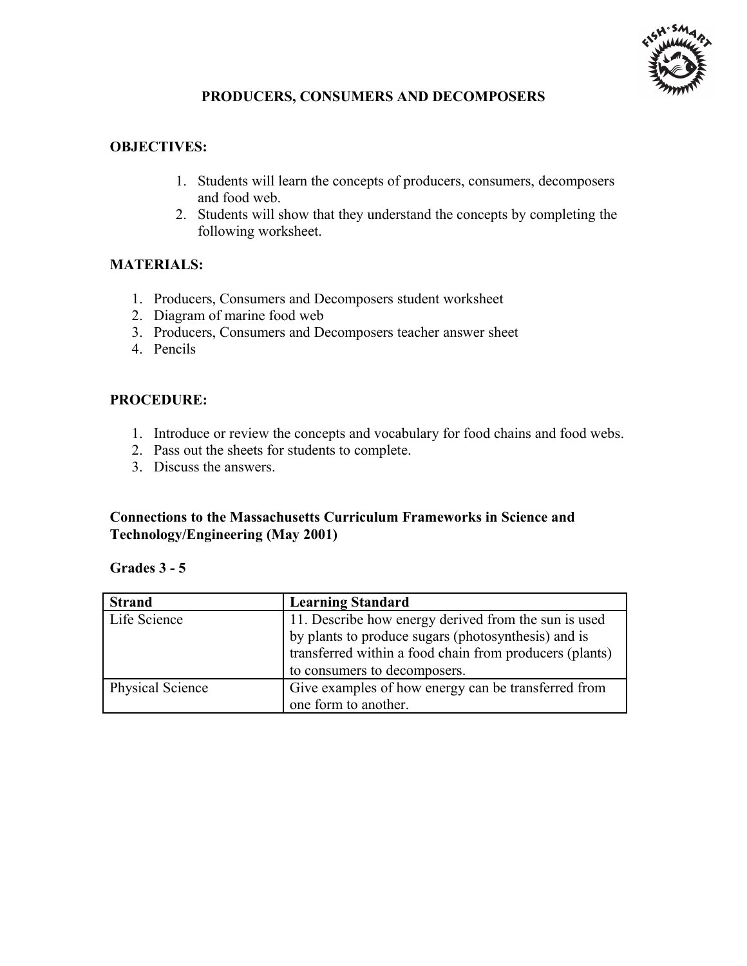

## **PRODUCERS, CONSUMERS AND DECOMPOSERS**

## **OBJECTIVES:**

- 1. Students will learn the concepts of producers, consumers, decomposers and food web.
- 2. Students will show that they understand the concepts by completing the following worksheet.

# **MATERIALS:**

- 1. Producers, Consumers and Decomposers student worksheet
- 2. Diagram of marine food web
- 3. Producers, Consumers and Decomposers teacher answer sheet
- 4. Pencils

# **PROCEDURE:**

- 1. Introduce or review the concepts and vocabulary for food chains and food webs.
- 2. Pass out the sheets for students to complete.
- 3. Discuss the answers.

## **Connections to the Massachusetts Curriculum Frameworks in Science and Technology/Engineering (May 2001)**

### **Grades 3 - 5**

| <b>Strand</b>    | <b>Learning Standard</b>                                                                                       |
|------------------|----------------------------------------------------------------------------------------------------------------|
| Life Science     | 11. Describe how energy derived from the sun is used                                                           |
|                  | by plants to produce sugars (photosynthesis) and is<br>transferred within a food chain from producers (plants) |
|                  | to consumers to decomposers.                                                                                   |
| Physical Science | Give examples of how energy can be transferred from                                                            |
|                  | one form to another.                                                                                           |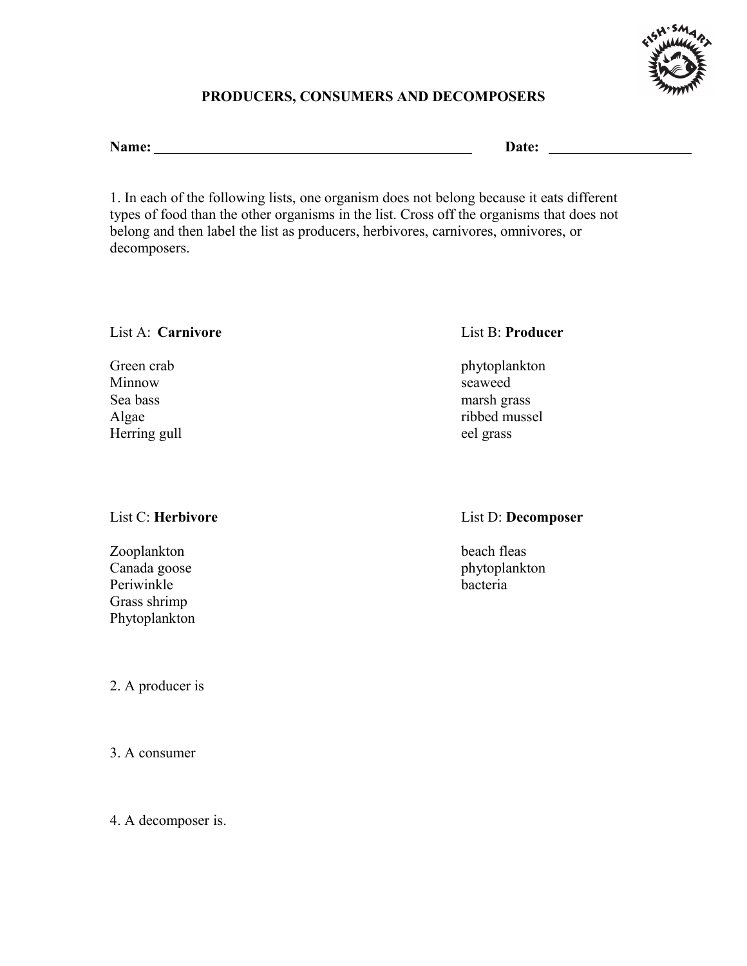

# **PRODUCERS, CONSUMERS AND DECOMPOSERS**

Name: Date: Date: Date: Date: Date: Date: Date: Date: Date: Date: Date: Date: Date: Date: Date: Date: Date: Date: Date: Date: Date: Date: Date: Date: Date: Date: Date: Date: Date: Date: Date: Date: Date: Date: Date: Date:

1. In each of the following lists, one organism does not belong because it eats different types of food than the other organisms in the list. Cross off the organisms that does not belong and then label the list as producers, herbivores, carnivores, omnivores, or decomposers.

## List A: **Carnivore** List B: **Producer**

Minnow seaweed Sea bass marsh grass Herring gull eel grass

Zooplankton beach fleas Canada goose phytoplankton Periwinkle bacteria Grass shrimp Phytoplankton

2. A producer is

3. A consumer

4. A decomposer is.

Green crab phytoplankton Algae ribbed mussel

## List C: **Herbivore** List D: **Decomposer**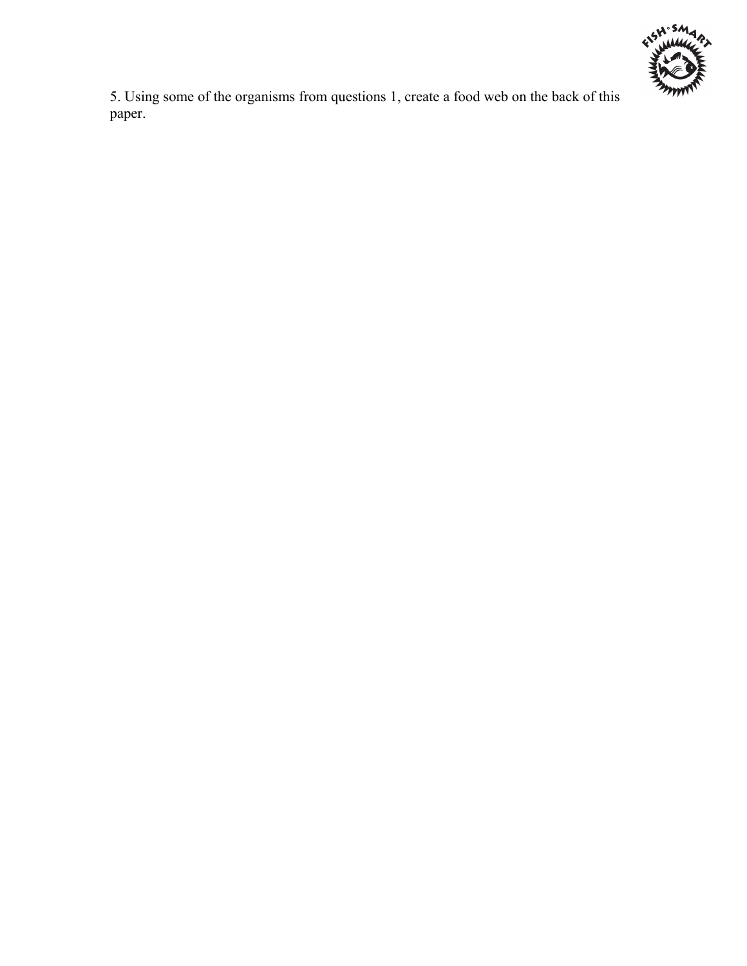

5. Using some of the organisms from questions 1, create a food web on the back of this paper.